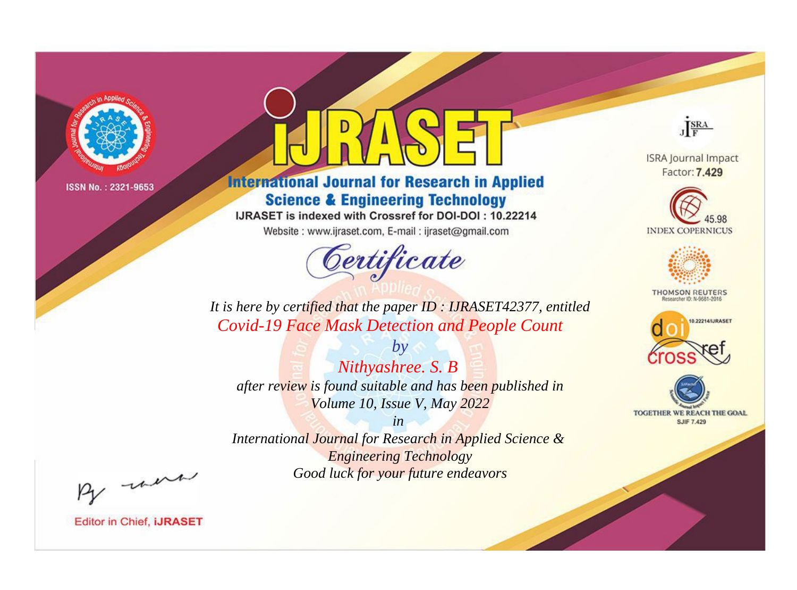

# **International Journal for Research in Applied Science & Engineering Technology**

IJRASET is indexed with Crossref for DOI-DOI: 10.22214

Website: www.ijraset.com, E-mail: ijraset@gmail.com



JERA

**ISRA Journal Impact** Factor: 7.429





**THOMSON REUTERS** 



TOGETHER WE REACH THE GOAL **SJIF 7.429** 

*It is here by certified that the paper ID : IJRASET42377, entitled Covid-19 Face Mask Detection and People Count*

*by Nithyashree. S. B after review is found suitable and has been published in Volume 10, Issue V, May 2022*

*in* 

*International Journal for Research in Applied Science & Engineering Technology Good luck for your future endeavors*

By morn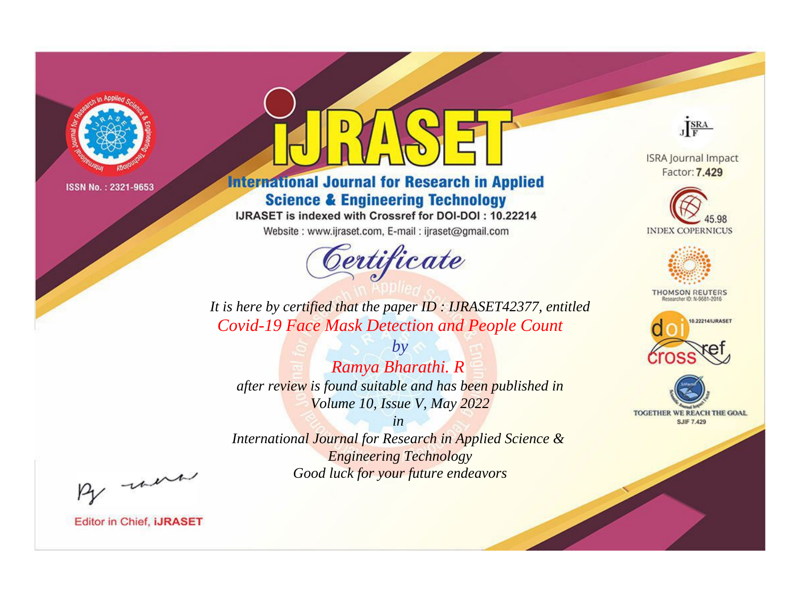

# **International Journal for Research in Applied Science & Engineering Technology**

IJRASET is indexed with Crossref for DOI-DOI: 10.22214

Website: www.ijraset.com, E-mail: ijraset@gmail.com



JERA

**ISRA Journal Impact** Factor: 7.429





**THOMSON REUTERS** 



TOGETHER WE REACH THE GOAL **SJIF 7.429** 

It is here by certified that the paper ID: IJRASET42377, entitled **Covid-19 Face Mask Detection and People Count** 

 $by$ Ramya Bharathi. R after review is found suitable and has been published in Volume 10, Issue V, May 2022

 $in$ International Journal for Research in Applied Science & **Engineering Technology** Good luck for your future endeavors

By morn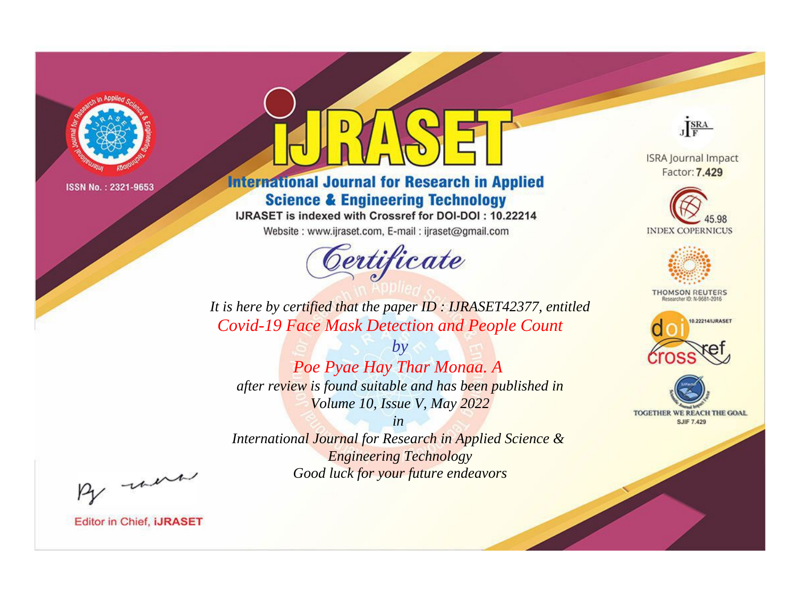

# **International Journal for Research in Applied Science & Engineering Technology**

IJRASET is indexed with Crossref for DOI-DOI: 10.22214

Website: www.ijraset.com, E-mail: ijraset@gmail.com



JERA

**ISRA Journal Impact** Factor: 7.429





**THOMSON REUTERS** 



TOGETHER WE REACH THE GOAL **SJIF 7.429** 

*It is here by certified that the paper ID : IJRASET42377, entitled Covid-19 Face Mask Detection and People Count*

*by Poe Pyae Hay Thar Monaa. A after review is found suitable and has been published in Volume 10, Issue V, May 2022*

*in* 

*International Journal for Research in Applied Science & Engineering Technology Good luck for your future endeavors*

By morn